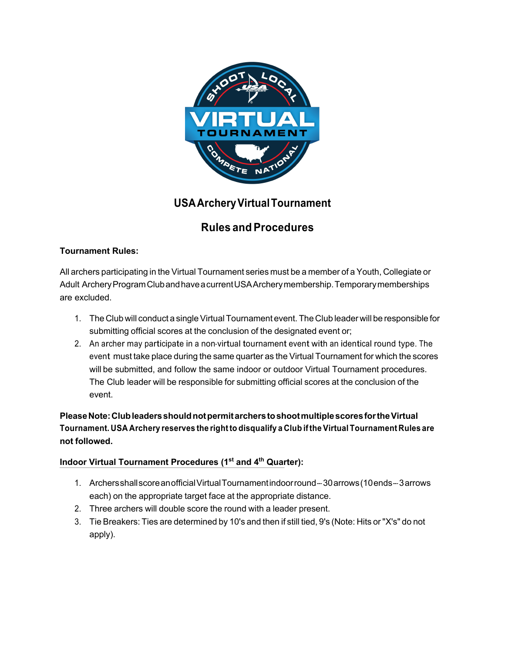

# **USAArcheryVirtualTournament**

# **Rules and Procedures**

## **Tournament Rules:**

All archers participating in the Virtual Tournament series must be a member of a Youth, Collegiate or Adult ArcheryProgramClubandhaveacurrentUSAArcherymembership.Temporarymemberships are excluded.

- 1. The Club will conduct a single Virtual Tournament event. The Club leader will be responsible for submitting official scores at the conclusion of the designated event or;
- 2. An archer may participate in a non-virtual tournament event with an identical round type. The event must take place during the same quarter as the Virtual Tournament for which the scores will be submitted, and follow the same indoor or outdoor Virtual Tournament procedures. The Club leader will be responsible for submitting official scores at the conclusion of the event.

**PleaseNote:ClubleadersshouldnotpermitarcherstoshootmultiplescoresfortheVirtual Tournament. USA Archery reserves the rightto disqualify a Club ifthe Virtual Tournament Rules are not followed.**

## **Indoor Virtual Tournament Procedures (1st and 4th Quarter):**

- 1. ArchersshallscoreanofficialVirtualTournamentindoorround---30arrows(10ends---3arrows each) on the appropriate target face at the appropriate distance.
- 2. Three archers will double score the round with a leader present.
- 3. Tie Breakers: Ties are determined by 10's and then if still tied, 9's (Note: Hits or "X's" do not apply).